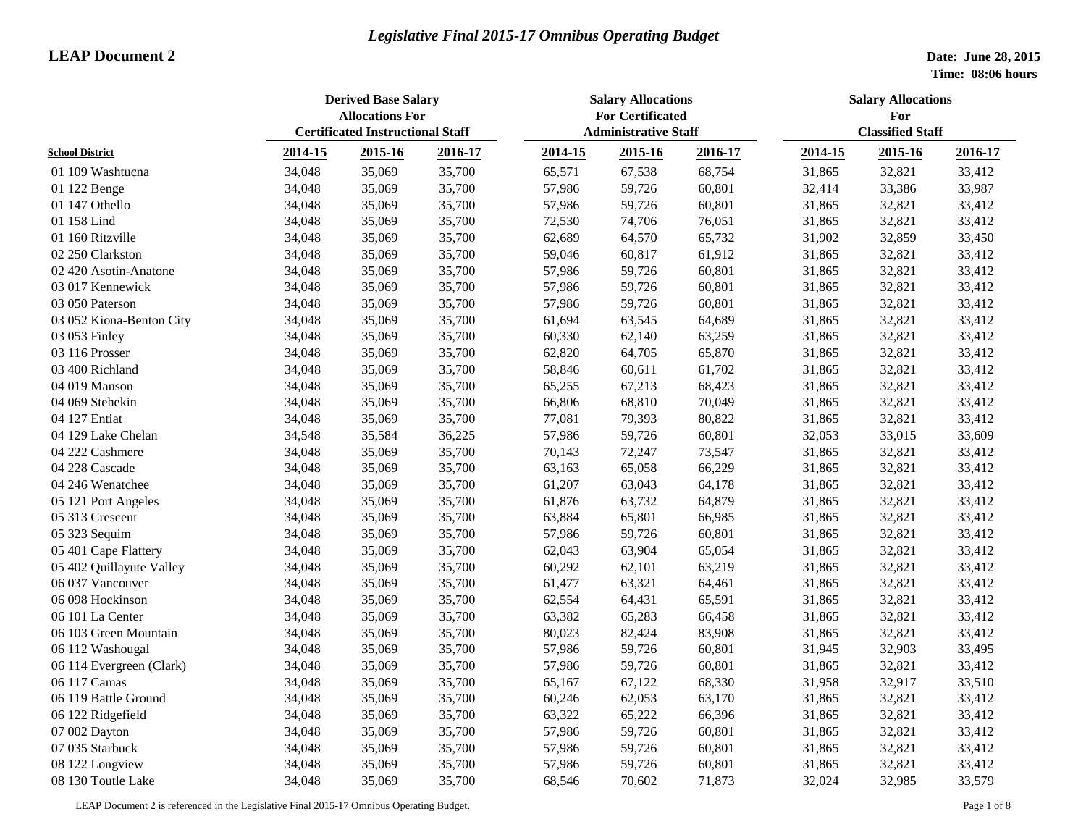|                          | <b>Derived Base Salary</b><br><b>Allocations For</b><br><b>Certificated Instructional Staff</b> |         |         | <b>Salary Allocations</b><br><b>For Certificated</b> |                             |         | <b>Salary Allocations</b><br>For |                         |         |
|--------------------------|-------------------------------------------------------------------------------------------------|---------|---------|------------------------------------------------------|-----------------------------|---------|----------------------------------|-------------------------|---------|
|                          |                                                                                                 |         |         |                                                      | <b>Administrative Staff</b> |         |                                  | <b>Classified Staff</b> |         |
| <b>School District</b>   | 2014-15                                                                                         | 2015-16 | 2016-17 | 2014-15                                              | 2015-16                     | 2016-17 | 2014-15                          | 2015-16                 | 2016-17 |
| 01 109 Washtucna         | 34,048                                                                                          | 35,069  | 35,700  | 65,571                                               | 67,538                      | 68,754  | 31,865                           | 32,821                  | 33,412  |
| 01 122 Benge             | 34,048                                                                                          | 35,069  | 35,700  | 57,986                                               | 59,726                      | 60,801  | 32,414                           | 33,386                  | 33,987  |
| 01 147 Othello           | 34,048                                                                                          | 35,069  | 35,700  | 57,986                                               | 59,726                      | 60,801  | 31,865                           | 32,821                  | 33,412  |
| 01 158 Lind              | 34,048                                                                                          | 35,069  | 35,700  | 72,530                                               | 74,706                      | 76,051  | 31,865                           | 32,821                  | 33,412  |
| 01 160 Ritzville         | 34,048                                                                                          | 35,069  | 35,700  | 62,689                                               | 64,570                      | 65,732  | 31,902                           | 32,859                  | 33,450  |
| 02 250 Clarkston         | 34,048                                                                                          | 35,069  | 35,700  | 59,046                                               | 60,817                      | 61,912  | 31,865                           | 32,821                  | 33,412  |
| 02 420 Asotin-Anatone    | 34,048                                                                                          | 35,069  | 35,700  | 57,986                                               | 59,726                      | 60,801  | 31,865                           | 32,821                  | 33,412  |
| 03 017 Kennewick         | 34,048                                                                                          | 35,069  | 35,700  | 57,986                                               | 59,726                      | 60,801  | 31,865                           | 32,821                  | 33,412  |
| 03 050 Paterson          | 34,048                                                                                          | 35,069  | 35,700  | 57,986                                               | 59,726                      | 60,801  | 31,865                           | 32,821                  | 33,412  |
| 03 052 Kiona-Benton City | 34,048                                                                                          | 35,069  | 35,700  | 61,694                                               | 63,545                      | 64,689  | 31,865                           | 32,821                  | 33,412  |
| 03 053 Finley            | 34,048                                                                                          | 35,069  | 35,700  | 60,330                                               | 62,140                      | 63,259  | 31,865                           | 32,821                  | 33,412  |
| 03 116 Prosser           | 34,048                                                                                          | 35,069  | 35,700  | 62,820                                               | 64,705                      | 65,870  | 31,865                           | 32,821                  | 33,412  |
| 03 400 Richland          | 34,048                                                                                          | 35,069  | 35,700  | 58,846                                               | 60,611                      | 61,702  | 31,865                           | 32,821                  | 33,412  |
| 04 019 Manson            | 34,048                                                                                          | 35,069  | 35,700  | 65,255                                               | 67,213                      | 68,423  | 31,865                           | 32,821                  | 33,412  |
| 04 069 Stehekin          | 34,048                                                                                          | 35,069  | 35,700  | 66,806                                               | 68,810                      | 70,049  | 31,865                           | 32,821                  | 33,412  |
| 04 127 Entiat            | 34,048                                                                                          | 35,069  | 35,700  | 77,081                                               | 79,393                      | 80,822  | 31,865                           | 32,821                  | 33,412  |
| 04 129 Lake Chelan       | 34,548                                                                                          | 35,584  | 36,225  | 57,986                                               | 59,726                      | 60,801  | 32,053                           | 33,015                  | 33,609  |
| 04 222 Cashmere          | 34,048                                                                                          | 35,069  | 35,700  | 70,143                                               | 72,247                      | 73,547  | 31,865                           | 32,821                  | 33,412  |
| 04 228 Cascade           | 34,048                                                                                          | 35,069  | 35,700  | 63,163                                               | 65,058                      | 66,229  | 31,865                           | 32,821                  | 33,412  |
| 04 246 Wenatchee         | 34,048                                                                                          | 35,069  | 35,700  | 61,207                                               | 63,043                      | 64,178  | 31,865                           | 32,821                  | 33,412  |
| 05 121 Port Angeles      | 34,048                                                                                          | 35,069  | 35,700  | 61,876                                               | 63,732                      | 64,879  | 31,865                           | 32,821                  | 33,412  |
| 05 313 Crescent          | 34,048                                                                                          | 35,069  | 35,700  | 63,884                                               | 65,801                      | 66,985  | 31,865                           | 32,821                  | 33,412  |
| 05 323 Sequim            | 34,048                                                                                          | 35,069  | 35,700  | 57,986                                               | 59,726                      | 60,801  | 31,865                           | 32,821                  | 33,412  |
| 05 401 Cape Flattery     | 34,048                                                                                          | 35,069  | 35,700  | 62,043                                               | 63,904                      | 65,054  | 31,865                           | 32,821                  | 33,412  |
| 05 402 Quillayute Valley | 34,048                                                                                          | 35,069  | 35,700  | 60,292                                               | 62,101                      | 63,219  | 31,865                           | 32,821                  | 33,412  |
| 06 037 Vancouver         | 34,048                                                                                          | 35,069  | 35,700  | 61,477                                               | 63,321                      | 64,461  | 31,865                           | 32,821                  | 33,412  |
| 06 098 Hockinson         | 34,048                                                                                          | 35,069  | 35,700  | 62,554                                               | 64,431                      | 65,591  | 31,865                           | 32,821                  | 33,412  |
| 06 101 La Center         | 34,048                                                                                          | 35,069  | 35,700  | 63,382                                               | 65,283                      | 66,458  | 31,865                           | 32,821                  | 33,412  |
| 06 103 Green Mountain    | 34,048                                                                                          | 35,069  | 35,700  | 80,023                                               | 82,424                      | 83,908  | 31,865                           | 32,821                  | 33,412  |
| 06 112 Washougal         | 34,048                                                                                          | 35,069  | 35,700  | 57,986                                               | 59,726                      | 60,801  | 31,945                           | 32,903                  | 33,495  |
| 06 114 Evergreen (Clark) | 34,048                                                                                          | 35,069  | 35,700  | 57,986                                               | 59,726                      | 60,801  | 31,865                           | 32,821                  | 33,412  |
| 06 117 Camas             | 34,048                                                                                          | 35,069  | 35,700  | 65,167                                               | 67,122                      | 68,330  | 31,958                           | 32,917                  | 33,510  |
| 06 119 Battle Ground     | 34,048                                                                                          | 35,069  | 35,700  | 60,246                                               | 62,053                      | 63,170  | 31,865                           | 32,821                  | 33,412  |
| 06 122 Ridgefield        | 34,048                                                                                          | 35,069  | 35,700  | 63,322                                               | 65,222                      | 66,396  | 31,865                           | 32,821                  | 33,412  |
| 07 002 Dayton            | 34,048                                                                                          | 35,069  | 35,700  | 57,986                                               | 59,726                      | 60,801  | 31,865                           | 32,821                  | 33,412  |
| 07 035 Starbuck          | 34,048                                                                                          | 35,069  | 35,700  | 57,986                                               | 59,726                      | 60,801  | 31,865                           | 32,821                  | 33,412  |
| 08 122 Longview          | 34,048                                                                                          | 35,069  | 35,700  | 57,986                                               | 59,726                      | 60,801  | 31,865                           | 32,821                  | 33,412  |
| 08 130 Toutle Lake       | 34,048                                                                                          | 35,069  | 35,700  | 68,546                                               | 70,602                      | 71,873  | 32,024                           | 32,985                  | 33,579  |

LEAP Document 2 is referenced in the Legislative Final 2015-17 Omnibus Operating Budget. Page 1 of 8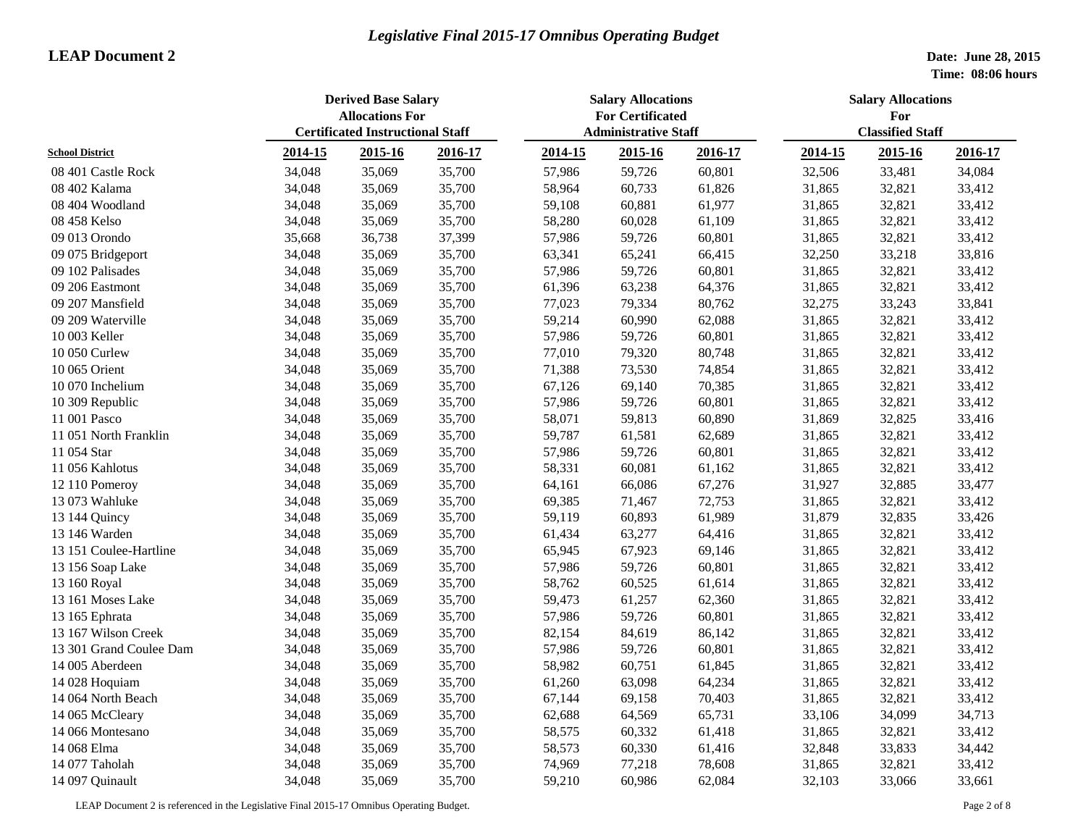|                         | <b>Derived Base Salary</b><br><b>Allocations For</b><br><b>Certificated Instructional Staff</b> |         |         | <b>Salary Allocations</b><br><b>For Certificated</b> |         |         | <b>Salary Allocations</b><br>For |         |         |  |
|-------------------------|-------------------------------------------------------------------------------------------------|---------|---------|------------------------------------------------------|---------|---------|----------------------------------|---------|---------|--|
|                         |                                                                                                 |         |         | <b>Administrative Staff</b>                          |         |         | <b>Classified Staff</b>          |         |         |  |
| <b>School District</b>  | 2014-15                                                                                         | 2015-16 | 2016-17 | 2014-15                                              | 2015-16 | 2016-17 | 2014-15                          | 2015-16 | 2016-17 |  |
| 08 401 Castle Rock      | 34,048                                                                                          | 35,069  | 35,700  | 57,986                                               | 59,726  | 60,801  | 32,506                           | 33,481  | 34,084  |  |
| 08 402 Kalama           | 34,048                                                                                          | 35,069  | 35,700  | 58,964                                               | 60,733  | 61,826  | 31,865                           | 32,821  | 33,412  |  |
| 08 404 Woodland         | 34,048                                                                                          | 35,069  | 35,700  | 59,108                                               | 60,881  | 61,977  | 31,865                           | 32,821  | 33,412  |  |
| 08 458 Kelso            | 34,048                                                                                          | 35,069  | 35,700  | 58,280                                               | 60,028  | 61,109  | 31,865                           | 32,821  | 33,412  |  |
| 09 013 Orondo           | 35,668                                                                                          | 36,738  | 37,399  | 57,986                                               | 59,726  | 60,801  | 31,865                           | 32,821  | 33,412  |  |
| 09 075 Bridgeport       | 34,048                                                                                          | 35,069  | 35,700  | 63,341                                               | 65,241  | 66,415  | 32,250                           | 33,218  | 33,816  |  |
| 09 102 Palisades        | 34,048                                                                                          | 35,069  | 35,700  | 57,986                                               | 59,726  | 60,801  | 31,865                           | 32,821  | 33,412  |  |
| 09 206 Eastmont         | 34,048                                                                                          | 35,069  | 35,700  | 61,396                                               | 63,238  | 64,376  | 31,865                           | 32,821  | 33,412  |  |
| 09 207 Mansfield        | 34,048                                                                                          | 35,069  | 35,700  | 77,023                                               | 79,334  | 80,762  | 32,275                           | 33,243  | 33,841  |  |
| 09 209 Waterville       | 34,048                                                                                          | 35,069  | 35,700  | 59,214                                               | 60,990  | 62,088  | 31,865                           | 32,821  | 33,412  |  |
| 10 003 Keller           | 34,048                                                                                          | 35,069  | 35,700  | 57,986                                               | 59,726  | 60,801  | 31,865                           | 32,821  | 33,412  |  |
| 10 050 Curlew           | 34,048                                                                                          | 35,069  | 35,700  | 77,010                                               | 79,320  | 80,748  | 31,865                           | 32,821  | 33,412  |  |
| 10 065 Orient           | 34,048                                                                                          | 35,069  | 35,700  | 71,388                                               | 73,530  | 74,854  | 31,865                           | 32,821  | 33,412  |  |
| 10 070 Inchelium        | 34,048                                                                                          | 35,069  | 35,700  | 67,126                                               | 69,140  | 70,385  | 31,865                           | 32,821  | 33,412  |  |
| 10 309 Republic         | 34,048                                                                                          | 35,069  | 35,700  | 57,986                                               | 59,726  | 60,801  | 31,865                           | 32,821  | 33,412  |  |
| 11 001 Pasco            | 34,048                                                                                          | 35,069  | 35,700  | 58,071                                               | 59,813  | 60,890  | 31,869                           | 32,825  | 33,416  |  |
| 11 051 North Franklin   | 34,048                                                                                          | 35,069  | 35,700  | 59,787                                               | 61,581  | 62,689  | 31,865                           | 32,821  | 33,412  |  |
| 11 054 Star             | 34,048                                                                                          | 35,069  | 35,700  | 57,986                                               | 59,726  | 60,801  | 31,865                           | 32,821  | 33,412  |  |
| 11 056 Kahlotus         | 34,048                                                                                          | 35,069  | 35,700  | 58,331                                               | 60,081  | 61,162  | 31,865                           | 32,821  | 33,412  |  |
| 12 110 Pomeroy          | 34,048                                                                                          | 35,069  | 35,700  | 64,161                                               | 66,086  | 67,276  | 31,927                           | 32,885  | 33,477  |  |
| 13 073 Wahluke          | 34,048                                                                                          | 35,069  | 35,700  | 69,385                                               | 71,467  | 72,753  | 31,865                           | 32,821  | 33,412  |  |
| 13 144 Quincy           | 34,048                                                                                          | 35,069  | 35,700  | 59,119                                               | 60,893  | 61,989  | 31,879                           | 32,835  | 33,426  |  |
| 13 146 Warden           | 34,048                                                                                          | 35,069  | 35,700  | 61,434                                               | 63,277  | 64,416  | 31,865                           | 32,821  | 33,412  |  |
| 13 151 Coulee-Hartline  | 34,048                                                                                          | 35,069  | 35,700  | 65,945                                               | 67,923  | 69,146  | 31,865                           | 32,821  | 33,412  |  |
| 13 156 Soap Lake        | 34,048                                                                                          | 35,069  | 35,700  | 57,986                                               | 59,726  | 60,801  | 31,865                           | 32,821  | 33,412  |  |
| 13 160 Royal            | 34,048                                                                                          | 35,069  | 35,700  | 58,762                                               | 60,525  | 61,614  | 31,865                           | 32,821  | 33,412  |  |
| 13 161 Moses Lake       | 34,048                                                                                          | 35,069  | 35,700  | 59,473                                               | 61,257  | 62,360  | 31,865                           | 32,821  | 33,412  |  |
| 13 165 Ephrata          | 34,048                                                                                          | 35,069  | 35,700  | 57,986                                               | 59,726  | 60,801  | 31,865                           | 32,821  | 33,412  |  |
| 13 167 Wilson Creek     | 34,048                                                                                          | 35,069  | 35,700  | 82,154                                               | 84,619  | 86,142  | 31,865                           | 32,821  | 33,412  |  |
| 13 301 Grand Coulee Dam | 34,048                                                                                          | 35,069  | 35,700  | 57,986                                               | 59,726  | 60,801  | 31,865                           | 32,821  | 33,412  |  |
| 14 005 Aberdeen         | 34,048                                                                                          | 35,069  | 35,700  | 58,982                                               | 60,751  | 61,845  | 31,865                           | 32,821  | 33,412  |  |
| 14 028 Hoquiam          | 34,048                                                                                          | 35,069  | 35,700  | 61,260                                               | 63,098  | 64,234  | 31,865                           | 32,821  | 33,412  |  |
| 14 064 North Beach      | 34,048                                                                                          | 35,069  | 35,700  | 67,144                                               | 69,158  | 70,403  | 31,865                           | 32,821  | 33,412  |  |
| 14 065 McCleary         | 34,048                                                                                          | 35,069  | 35,700  | 62,688                                               | 64,569  | 65,731  | 33,106                           | 34,099  | 34,713  |  |
| 14 066 Montesano        | 34,048                                                                                          | 35,069  | 35,700  | 58,575                                               | 60,332  | 61,418  | 31,865                           | 32,821  | 33,412  |  |
| 14 068 Elma             | 34,048                                                                                          | 35,069  | 35,700  | 58,573                                               | 60,330  | 61,416  | 32,848                           | 33,833  | 34,442  |  |
| 14 077 Taholah          | 34,048                                                                                          | 35,069  | 35,700  | 74,969                                               | 77,218  | 78,608  | 31,865                           | 32,821  | 33,412  |  |
| 14 097 Quinault         | 34,048                                                                                          | 35,069  | 35,700  | 59,210                                               | 60,986  | 62,084  | 32,103                           | 33,066  | 33,661  |  |

LEAP Document 2 is referenced in the Legislative Final 2015-17 Omnibus Operating Budget. Page 2 of 8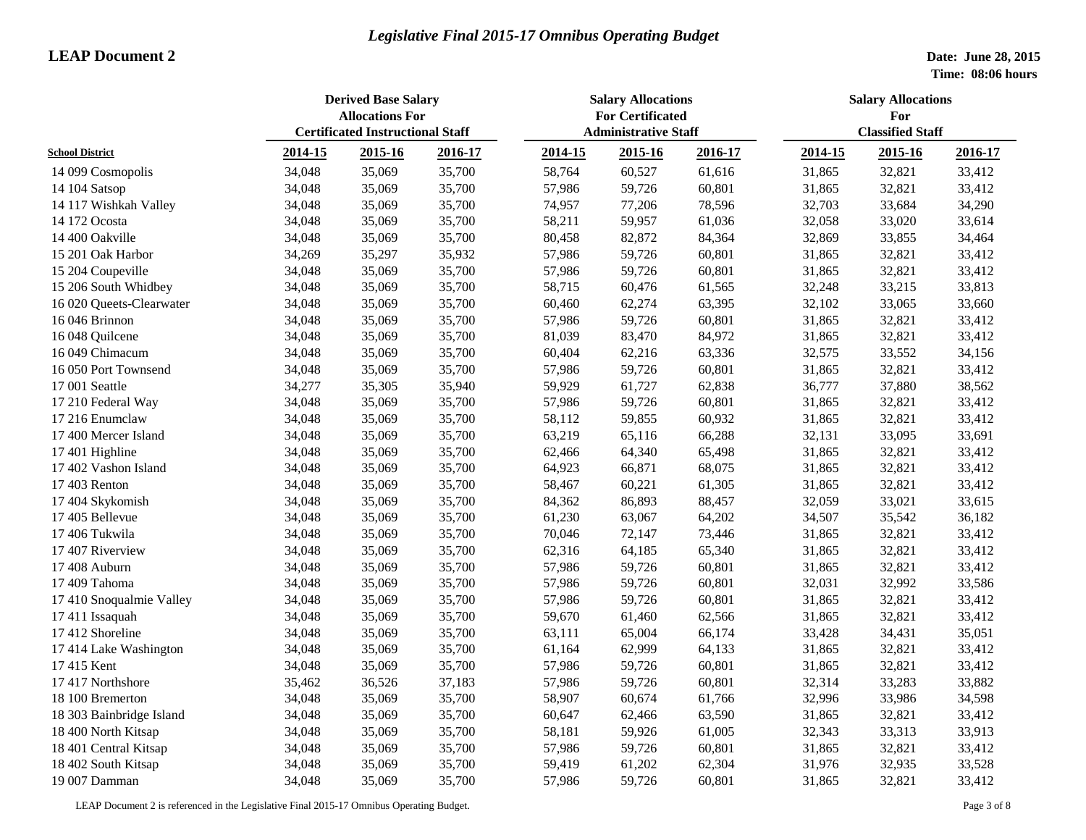|                          | <b>Derived Base Salary</b><br><b>Allocations For</b><br><b>Certificated Instructional Staff</b> |         |         | <b>Salary Allocations</b><br><b>For Certificated</b> |                             |         | <b>Salary Allocations</b><br>For |                         |         |
|--------------------------|-------------------------------------------------------------------------------------------------|---------|---------|------------------------------------------------------|-----------------------------|---------|----------------------------------|-------------------------|---------|
|                          |                                                                                                 |         |         |                                                      | <b>Administrative Staff</b> |         |                                  | <b>Classified Staff</b> |         |
| <b>School District</b>   | 2014-15                                                                                         | 2015-16 | 2016-17 | 2014-15                                              | 2015-16                     | 2016-17 | 2014-15                          | 2015-16                 | 2016-17 |
| 14 099 Cosmopolis        | 34,048                                                                                          | 35,069  | 35,700  | 58,764                                               | 60,527                      | 61,616  | 31,865                           | 32,821                  | 33,412  |
| 14 104 Satsop            | 34,048                                                                                          | 35,069  | 35,700  | 57,986                                               | 59,726                      | 60,801  | 31,865                           | 32,821                  | 33,412  |
| 14 117 Wishkah Valley    | 34,048                                                                                          | 35,069  | 35,700  | 74,957                                               | 77,206                      | 78,596  | 32,703                           | 33,684                  | 34,290  |
| 14 172 Ocosta            | 34,048                                                                                          | 35,069  | 35,700  | 58,211                                               | 59,957                      | 61,036  | 32,058                           | 33,020                  | 33,614  |
| 14 400 Oakville          | 34,048                                                                                          | 35,069  | 35,700  | 80,458                                               | 82,872                      | 84,364  | 32,869                           | 33,855                  | 34,464  |
| 15 201 Oak Harbor        | 34,269                                                                                          | 35,297  | 35,932  | 57,986                                               | 59,726                      | 60,801  | 31,865                           | 32,821                  | 33,412  |
| 15 204 Coupeville        | 34,048                                                                                          | 35,069  | 35,700  | 57,986                                               | 59,726                      | 60,801  | 31,865                           | 32,821                  | 33,412  |
| 15 206 South Whidbey     | 34,048                                                                                          | 35,069  | 35,700  | 58,715                                               | 60,476                      | 61,565  | 32,248                           | 33,215                  | 33,813  |
| 16 020 Queets-Clearwater | 34,048                                                                                          | 35,069  | 35,700  | 60,460                                               | 62,274                      | 63,395  | 32,102                           | 33,065                  | 33,660  |
| 16 046 Brinnon           | 34,048                                                                                          | 35,069  | 35,700  | 57,986                                               | 59,726                      | 60,801  | 31,865                           | 32,821                  | 33,412  |
| 16 048 Quilcene          | 34,048                                                                                          | 35,069  | 35,700  | 81,039                                               | 83,470                      | 84,972  | 31,865                           | 32,821                  | 33,412  |
| 16 049 Chimacum          | 34,048                                                                                          | 35,069  | 35,700  | 60,404                                               | 62,216                      | 63,336  | 32,575                           | 33,552                  | 34,156  |
| 16 050 Port Townsend     | 34,048                                                                                          | 35,069  | 35,700  | 57,986                                               | 59,726                      | 60,801  | 31,865                           | 32,821                  | 33,412  |
| 17 001 Seattle           | 34,277                                                                                          | 35,305  | 35,940  | 59,929                                               | 61,727                      | 62,838  | 36,777                           | 37,880                  | 38,562  |
| 17 210 Federal Way       | 34,048                                                                                          | 35,069  | 35,700  | 57,986                                               | 59,726                      | 60,801  | 31,865                           | 32,821                  | 33,412  |
| 17 216 Enumclaw          | 34,048                                                                                          | 35,069  | 35,700  | 58,112                                               | 59,855                      | 60,932  | 31,865                           | 32,821                  | 33,412  |
| 17 400 Mercer Island     | 34,048                                                                                          | 35,069  | 35,700  | 63,219                                               | 65,116                      | 66,288  | 32,131                           | 33,095                  | 33,691  |
| 17 401 Highline          | 34,048                                                                                          | 35,069  | 35,700  | 62,466                                               | 64,340                      | 65,498  | 31,865                           | 32,821                  | 33,412  |
| 17 402 Vashon Island     | 34,048                                                                                          | 35,069  | 35,700  | 64,923                                               | 66,871                      | 68,075  | 31,865                           | 32,821                  | 33,412  |
| 17 403 Renton            | 34,048                                                                                          | 35,069  | 35,700  | 58,467                                               | 60,221                      | 61,305  | 31,865                           | 32,821                  | 33,412  |
| 17 404 Skykomish         | 34,048                                                                                          | 35,069  | 35,700  | 84,362                                               | 86,893                      | 88,457  | 32,059                           | 33,021                  | 33,615  |
| 17 405 Bellevue          | 34,048                                                                                          | 35,069  | 35,700  | 61,230                                               | 63,067                      | 64,202  | 34,507                           | 35,542                  | 36,182  |
| 17 406 Tukwila           | 34,048                                                                                          | 35,069  | 35,700  | 70,046                                               | 72,147                      | 73,446  | 31,865                           | 32,821                  | 33,412  |
| 17 407 Riverview         | 34,048                                                                                          | 35,069  | 35,700  | 62,316                                               | 64,185                      | 65,340  | 31,865                           | 32,821                  | 33,412  |
| 17 408 Auburn            | 34,048                                                                                          | 35,069  | 35,700  | 57,986                                               | 59,726                      | 60,801  | 31,865                           | 32,821                  | 33,412  |
| 17 409 Tahoma            | 34,048                                                                                          | 35,069  | 35,700  | 57,986                                               | 59,726                      | 60,801  | 32,031                           | 32,992                  | 33,586  |
| 17 410 Snoqualmie Valley | 34,048                                                                                          | 35,069  | 35,700  | 57,986                                               | 59,726                      | 60,801  | 31,865                           | 32,821                  | 33,412  |
| 17 411 Issaquah          | 34,048                                                                                          | 35,069  | 35,700  | 59,670                                               | 61,460                      | 62,566  | 31,865                           | 32,821                  | 33,412  |
| 17 412 Shoreline         | 34,048                                                                                          | 35,069  | 35,700  | 63,111                                               | 65,004                      | 66,174  | 33,428                           | 34,431                  | 35,051  |
| 17 414 Lake Washington   | 34,048                                                                                          | 35,069  | 35,700  | 61,164                                               | 62,999                      | 64,133  | 31,865                           | 32,821                  | 33,412  |
| 17 415 Kent              | 34,048                                                                                          | 35,069  | 35,700  | 57,986                                               | 59,726                      | 60,801  | 31,865                           | 32,821                  | 33,412  |
| 17 417 Northshore        | 35,462                                                                                          | 36,526  | 37,183  | 57,986                                               | 59,726                      | 60,801  | 32,314                           | 33,283                  | 33,882  |
| 18 100 Bremerton         | 34,048                                                                                          | 35,069  | 35,700  | 58,907                                               | 60,674                      | 61,766  | 32,996                           | 33,986                  | 34,598  |
| 18 303 Bainbridge Island | 34,048                                                                                          | 35,069  | 35,700  | 60,647                                               | 62,466                      | 63,590  | 31,865                           | 32,821                  | 33,412  |
| 18 400 North Kitsap      | 34,048                                                                                          | 35,069  | 35,700  | 58,181                                               | 59,926                      | 61,005  | 32,343                           | 33,313                  | 33,913  |
| 18 401 Central Kitsap    | 34,048                                                                                          | 35,069  | 35,700  | 57,986                                               | 59,726                      | 60,801  | 31,865                           | 32,821                  | 33,412  |
| 18 402 South Kitsap      | 34,048                                                                                          | 35,069  | 35,700  | 59,419                                               | 61,202                      | 62,304  | 31,976                           | 32,935                  | 33,528  |
| 19 007 Damman            | 34,048                                                                                          | 35,069  | 35,700  | 57,986                                               | 59,726                      | 60,801  | 31,865                           | 32,821                  | 33,412  |

LEAP Document 2 is referenced in the Legislative Final 2015-17 Omnibus Operating Budget. Page 3 of 8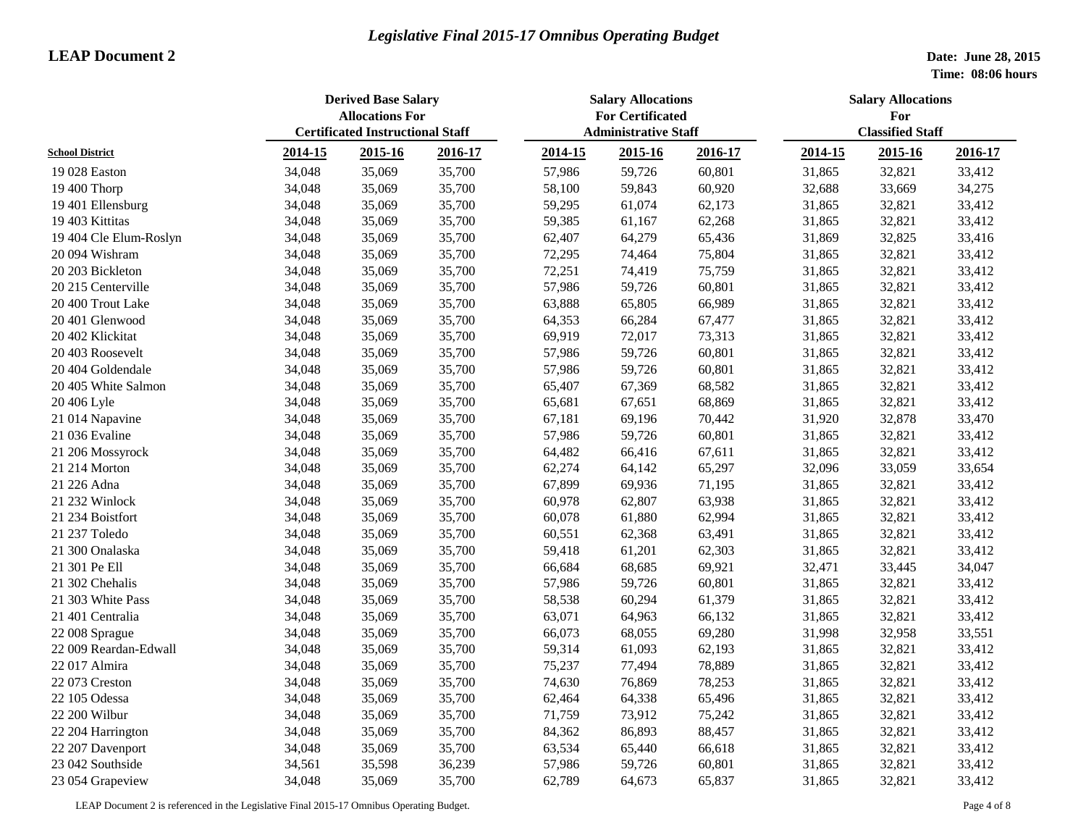|                        |         | <b>Derived Base Salary</b><br><b>Allocations For</b> | <b>Salary Allocations</b><br><b>For Certificated</b> |                             |         | <b>Salary Allocations</b><br>For |                         |         |         |
|------------------------|---------|------------------------------------------------------|------------------------------------------------------|-----------------------------|---------|----------------------------------|-------------------------|---------|---------|
|                        |         | <b>Certificated Instructional Staff</b>              |                                                      | <b>Administrative Staff</b> |         |                                  | <b>Classified Staff</b> |         |         |
| <b>School District</b> | 2014-15 | 2015-16                                              | 2016-17                                              | 2014-15                     | 2015-16 | 2016-17                          | 2014-15                 | 2015-16 | 2016-17 |
| 19 028 Easton          | 34,048  | 35,069                                               | 35,700                                               | 57,986                      | 59,726  | 60,801                           | 31,865                  | 32,821  | 33,412  |
| 19 400 Thorp           | 34,048  | 35,069                                               | 35,700                                               | 58,100                      | 59,843  | 60,920                           | 32,688                  | 33,669  | 34,275  |
| 19 401 Ellensburg      | 34,048  | 35,069                                               | 35,700                                               | 59,295                      | 61,074  | 62,173                           | 31,865                  | 32,821  | 33,412  |
| 19 403 Kittitas        | 34,048  | 35,069                                               | 35,700                                               | 59,385                      | 61,167  | 62,268                           | 31,865                  | 32,821  | 33,412  |
| 19 404 Cle Elum-Roslyn | 34,048  | 35,069                                               | 35,700                                               | 62,407                      | 64,279  | 65,436                           | 31,869                  | 32,825  | 33,416  |
| 20 094 Wishram         | 34,048  | 35,069                                               | 35,700                                               | 72,295                      | 74,464  | 75,804                           | 31,865                  | 32,821  | 33,412  |
| 20 203 Bickleton       | 34,048  | 35,069                                               | 35,700                                               | 72,251                      | 74,419  | 75,759                           | 31,865                  | 32,821  | 33,412  |
| 20 215 Centerville     | 34,048  | 35,069                                               | 35,700                                               | 57,986                      | 59,726  | 60,801                           | 31,865                  | 32,821  | 33,412  |
| 20 400 Trout Lake      | 34,048  | 35,069                                               | 35,700                                               | 63,888                      | 65,805  | 66,989                           | 31,865                  | 32,821  | 33,412  |
| 20 401 Glenwood        | 34,048  | 35,069                                               | 35,700                                               | 64,353                      | 66,284  | 67,477                           | 31,865                  | 32,821  | 33,412  |
| 20 402 Klickitat       | 34,048  | 35,069                                               | 35,700                                               | 69,919                      | 72,017  | 73,313                           | 31,865                  | 32,821  | 33,412  |
| 20 403 Roosevelt       | 34,048  | 35,069                                               | 35,700                                               | 57,986                      | 59,726  | 60,801                           | 31,865                  | 32,821  | 33,412  |
| 20 404 Goldendale      | 34,048  | 35,069                                               | 35,700                                               | 57,986                      | 59,726  | 60,801                           | 31,865                  | 32,821  | 33,412  |
| 20 405 White Salmon    | 34,048  | 35,069                                               | 35,700                                               | 65,407                      | 67,369  | 68,582                           | 31,865                  | 32,821  | 33,412  |
| 20 406 Lyle            | 34,048  | 35,069                                               | 35,700                                               | 65,681                      | 67,651  | 68,869                           | 31,865                  | 32,821  | 33,412  |
| 21 014 Napavine        | 34,048  | 35,069                                               | 35,700                                               | 67,181                      | 69,196  | 70,442                           | 31,920                  | 32,878  | 33,470  |
| 21 036 Evaline         | 34,048  | 35,069                                               | 35,700                                               | 57,986                      | 59,726  | 60,801                           | 31,865                  | 32,821  | 33,412  |
| 21 206 Mossyrock       | 34,048  | 35,069                                               | 35,700                                               | 64,482                      | 66,416  | 67,611                           | 31,865                  | 32,821  | 33,412  |
| 21 214 Morton          | 34,048  | 35,069                                               | 35,700                                               | 62,274                      | 64,142  | 65,297                           | 32,096                  | 33,059  | 33,654  |
| 21 226 Adna            | 34,048  | 35,069                                               | 35,700                                               | 67,899                      | 69,936  | 71,195                           | 31,865                  | 32,821  | 33,412  |
| 21 232 Winlock         | 34,048  | 35,069                                               | 35,700                                               | 60,978                      | 62,807  | 63,938                           | 31,865                  | 32,821  | 33,412  |
| 21 234 Boistfort       | 34,048  | 35,069                                               | 35,700                                               | 60,078                      | 61,880  | 62,994                           | 31,865                  | 32,821  | 33,412  |
| 21 237 Toledo          | 34,048  | 35,069                                               | 35,700                                               | 60,551                      | 62,368  | 63,491                           | 31,865                  | 32,821  | 33,412  |
| 21 300 Onalaska        | 34,048  | 35,069                                               | 35,700                                               | 59,418                      | 61,201  | 62,303                           | 31,865                  | 32,821  | 33,412  |
| 21 301 Pe Ell          | 34,048  | 35,069                                               | 35,700                                               | 66,684                      | 68,685  | 69,921                           | 32,471                  | 33,445  | 34,047  |
| 21 302 Chehalis        | 34,048  | 35,069                                               | 35,700                                               | 57,986                      | 59,726  | 60,801                           | 31,865                  | 32,821  | 33,412  |
| 21 303 White Pass      | 34,048  | 35,069                                               | 35,700                                               | 58,538                      | 60,294  | 61,379                           | 31,865                  | 32,821  | 33,412  |
| 21 401 Centralia       | 34,048  | 35,069                                               | 35,700                                               | 63,071                      | 64,963  | 66,132                           | 31,865                  | 32,821  | 33,412  |
| 22 008 Sprague         | 34,048  | 35,069                                               | 35,700                                               | 66,073                      | 68,055  | 69,280                           | 31,998                  | 32,958  | 33,551  |
| 22 009 Reardan-Edwall  | 34,048  | 35,069                                               | 35,700                                               | 59,314                      | 61,093  | 62,193                           | 31,865                  | 32,821  | 33,412  |
| 22 017 Almira          | 34,048  | 35,069                                               | 35,700                                               | 75,237                      | 77,494  | 78,889                           | 31,865                  | 32,821  | 33,412  |
| 22 073 Creston         | 34,048  | 35,069                                               | 35,700                                               | 74,630                      | 76,869  | 78,253                           | 31,865                  | 32,821  | 33,412  |
| 22 105 Odessa          | 34,048  | 35,069                                               | 35,700                                               | 62,464                      | 64,338  | 65,496                           | 31,865                  | 32,821  | 33,412  |
| 22 200 Wilbur          | 34,048  | 35,069                                               | 35,700                                               | 71,759                      | 73,912  | 75,242                           | 31,865                  | 32,821  | 33,412  |
| 22 204 Harrington      | 34,048  | 35,069                                               | 35,700                                               | 84,362                      | 86,893  | 88,457                           | 31,865                  | 32,821  | 33,412  |
| 22 207 Davenport       | 34,048  | 35,069                                               | 35,700                                               | 63,534                      | 65,440  | 66,618                           | 31,865                  | 32,821  | 33,412  |
| 23 042 Southside       | 34,561  | 35,598                                               | 36,239                                               | 57,986                      | 59,726  | 60,801                           | 31,865                  | 32,821  | 33,412  |
| 23 054 Grapeview       | 34,048  | 35,069                                               | 35,700                                               | 62,789                      | 64,673  | 65,837                           | 31,865                  | 32,821  | 33,412  |

LEAP Document 2 is referenced in the Legislative Final 2015-17 Omnibus Operating Budget. Page 4 of 8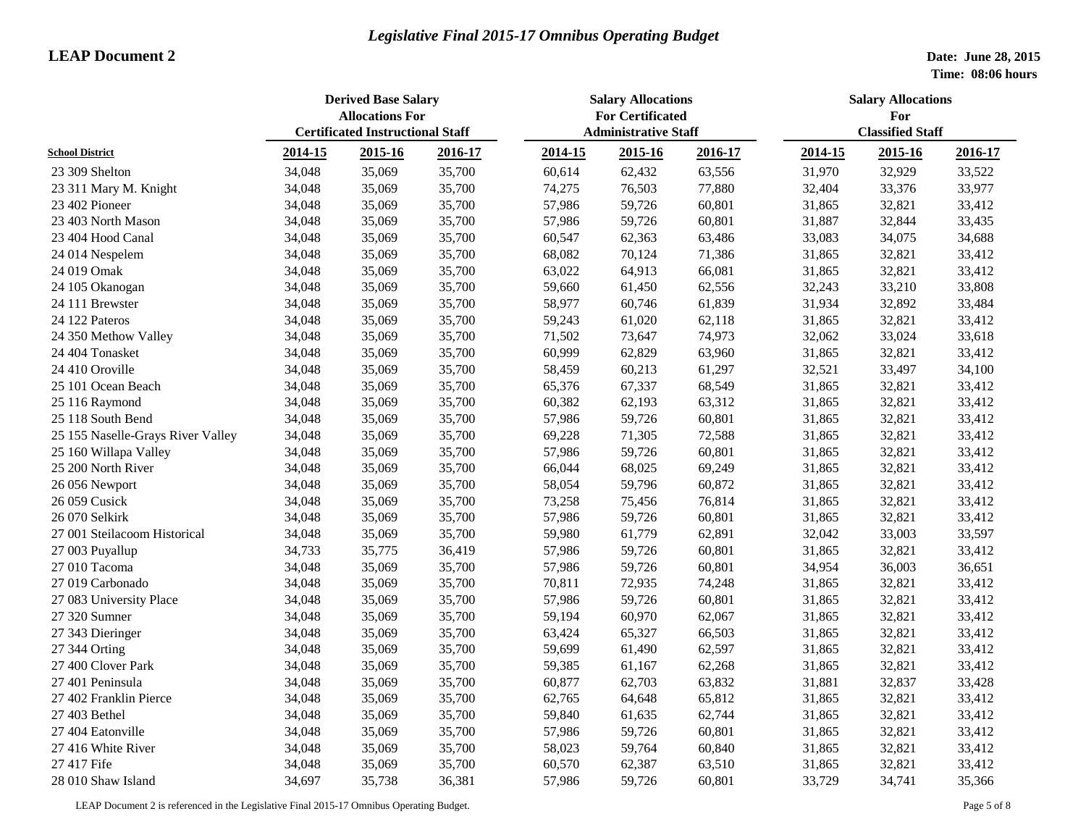|                                   | <b>Derived Base Salary</b><br><b>Allocations For</b><br><b>Certificated Instructional Staff</b> |        |         | <b>Salary Allocations</b><br><b>For Certificated</b><br><b>Administrative Staff</b> |         |         | <b>Salary Allocations</b><br>For<br><b>Classified Staff</b> |         |         |
|-----------------------------------|-------------------------------------------------------------------------------------------------|--------|---------|-------------------------------------------------------------------------------------|---------|---------|-------------------------------------------------------------|---------|---------|
| <b>School District</b>            | 2014-15<br>2015-16                                                                              |        | 2016-17 | 2014-15                                                                             | 2015-16 | 2016-17 | 2014-15                                                     | 2015-16 | 2016-17 |
|                                   |                                                                                                 |        |         |                                                                                     |         |         |                                                             |         |         |
| 23 309 Shelton                    | 34,048                                                                                          | 35,069 | 35,700  | 60,614                                                                              | 62,432  | 63,556  | 31,970                                                      | 32,929  | 33,522  |
| 23 311 Mary M. Knight             | 34,048                                                                                          | 35,069 | 35,700  | 74,275                                                                              | 76,503  | 77,880  | 32,404                                                      | 33,376  | 33,977  |
| 23 402 Pioneer                    | 34,048                                                                                          | 35,069 | 35,700  | 57,986                                                                              | 59,726  | 60,801  | 31,865                                                      | 32,821  | 33,412  |
| 23 403 North Mason                | 34,048                                                                                          | 35,069 | 35,700  | 57,986                                                                              | 59,726  | 60,801  | 31,887                                                      | 32,844  | 33,435  |
| 23 404 Hood Canal                 | 34,048                                                                                          | 35,069 | 35,700  | 60,547                                                                              | 62,363  | 63,486  | 33,083                                                      | 34,075  | 34,688  |
| 24 014 Nespelem                   | 34,048                                                                                          | 35,069 | 35,700  | 68,082                                                                              | 70,124  | 71,386  | 31,865                                                      | 32,821  | 33,412  |
| 24 019 Omak                       | 34,048                                                                                          | 35,069 | 35,700  | 63,022                                                                              | 64,913  | 66,081  | 31,865                                                      | 32,821  | 33,412  |
| 24 105 Okanogan                   | 34,048                                                                                          | 35,069 | 35,700  | 59,660                                                                              | 61,450  | 62,556  | 32,243                                                      | 33,210  | 33,808  |
| 24 111 Brewster                   | 34,048                                                                                          | 35,069 | 35,700  | 58,977                                                                              | 60,746  | 61,839  | 31,934                                                      | 32,892  | 33,484  |
| 24 122 Pateros                    | 34,048                                                                                          | 35,069 | 35,700  | 59,243                                                                              | 61,020  | 62,118  | 31,865                                                      | 32,821  | 33,412  |
| 24 350 Methow Valley              | 34,048                                                                                          | 35,069 | 35,700  | 71,502                                                                              | 73,647  | 74,973  | 32,062                                                      | 33,024  | 33,618  |
| 24 404 Tonasket                   | 34,048                                                                                          | 35,069 | 35,700  | 60,999                                                                              | 62,829  | 63,960  | 31,865                                                      | 32,821  | 33,412  |
| 24 410 Oroville                   | 34,048                                                                                          | 35,069 | 35,700  | 58,459                                                                              | 60,213  | 61,297  | 32,521                                                      | 33,497  | 34,100  |
| 25 101 Ocean Beach                | 34,048                                                                                          | 35,069 | 35,700  | 65,376                                                                              | 67,337  | 68,549  | 31,865                                                      | 32,821  | 33,412  |
| 25 116 Raymond                    | 34,048                                                                                          | 35,069 | 35,700  | 60,382                                                                              | 62,193  | 63,312  | 31,865                                                      | 32,821  | 33,412  |
| 25 118 South Bend                 | 34,048                                                                                          | 35,069 | 35,700  | 57,986                                                                              | 59,726  | 60,801  | 31,865                                                      | 32,821  | 33,412  |
| 25 155 Naselle-Grays River Valley | 34,048                                                                                          | 35,069 | 35,700  | 69,228                                                                              | 71,305  | 72,588  | 31,865                                                      | 32,821  | 33,412  |
| 25 160 Willapa Valley             | 34,048                                                                                          | 35,069 | 35,700  | 57,986                                                                              | 59,726  | 60,801  | 31,865                                                      | 32,821  | 33,412  |
| 25 200 North River                | 34,048                                                                                          | 35,069 | 35,700  | 66,044                                                                              | 68,025  | 69,249  | 31,865                                                      | 32,821  | 33,412  |
| 26 056 Newport                    | 34,048                                                                                          | 35,069 | 35,700  | 58,054                                                                              | 59,796  | 60,872  | 31,865                                                      | 32,821  | 33,412  |
| 26 059 Cusick                     | 34,048                                                                                          | 35,069 | 35,700  | 73,258                                                                              | 75,456  | 76,814  | 31,865                                                      | 32,821  | 33,412  |
| 26 070 Selkirk                    | 34,048                                                                                          | 35,069 | 35,700  | 57,986                                                                              | 59,726  | 60,801  | 31,865                                                      | 32,821  | 33,412  |
| 27 001 Steilacoom Historical      | 34,048                                                                                          | 35,069 | 35,700  | 59,980                                                                              | 61,779  | 62,891  | 32,042                                                      | 33,003  | 33,597  |
| 27 003 Puyallup                   | 34,733                                                                                          | 35,775 | 36,419  | 57,986                                                                              | 59,726  | 60,801  | 31,865                                                      | 32,821  | 33,412  |
| 27 010 Tacoma                     | 34,048                                                                                          | 35,069 | 35,700  | 57,986                                                                              | 59,726  | 60,801  | 34,954                                                      | 36,003  | 36,651  |
| 27 019 Carbonado                  | 34,048                                                                                          | 35,069 | 35,700  | 70,811                                                                              | 72,935  | 74,248  | 31,865                                                      | 32,821  | 33,412  |
| 27 083 University Place           | 34,048                                                                                          | 35,069 | 35,700  | 57,986                                                                              | 59,726  | 60,801  | 31,865                                                      | 32,821  | 33,412  |
| 27 320 Sumner                     | 34,048                                                                                          | 35,069 | 35,700  | 59,194                                                                              | 60,970  | 62,067  | 31,865                                                      | 32,821  | 33,412  |
| 27 343 Dieringer                  | 34,048                                                                                          | 35,069 | 35,700  | 63,424                                                                              | 65,327  | 66,503  | 31,865                                                      | 32,821  | 33,412  |
| 27 344 Orting                     | 34,048                                                                                          | 35,069 | 35,700  | 59,699                                                                              | 61,490  | 62,597  | 31,865                                                      | 32,821  | 33,412  |
| 27 400 Clover Park                | 34,048                                                                                          | 35,069 | 35,700  | 59,385                                                                              | 61,167  | 62,268  | 31,865                                                      | 32,821  | 33,412  |
| 27 401 Peninsula                  | 34,048                                                                                          | 35,069 | 35,700  | 60,877                                                                              | 62,703  | 63,832  | 31,881                                                      | 32,837  | 33,428  |
| 27 402 Franklin Pierce            | 34,048                                                                                          | 35,069 | 35,700  | 62,765                                                                              | 64,648  | 65,812  | 31,865                                                      | 32,821  | 33,412  |
| 27 403 Bethel                     | 34,048                                                                                          | 35,069 | 35,700  | 59,840                                                                              | 61,635  | 62,744  | 31,865                                                      | 32,821  | 33,412  |
| 27 404 Eatonville                 | 34,048                                                                                          | 35,069 | 35,700  | 57,986                                                                              | 59,726  | 60,801  | 31,865                                                      | 32,821  | 33,412  |
| 27 416 White River                | 34,048                                                                                          | 35,069 | 35,700  | 58,023                                                                              | 59,764  | 60,840  | 31,865                                                      | 32,821  | 33,412  |
| 27 417 Fife                       | 34,048                                                                                          | 35,069 | 35,700  | 60,570                                                                              | 62,387  | 63,510  | 31,865                                                      | 32,821  | 33,412  |
| 28 010 Shaw Island                | 34,697                                                                                          | 35,738 | 36,381  | 57,986                                                                              | 59,726  | 60,801  | 33,729                                                      | 34,741  | 35,366  |

LEAP Document 2 is referenced in the Legislative Final 2015-17 Omnibus Operating Budget. Page 5 of 8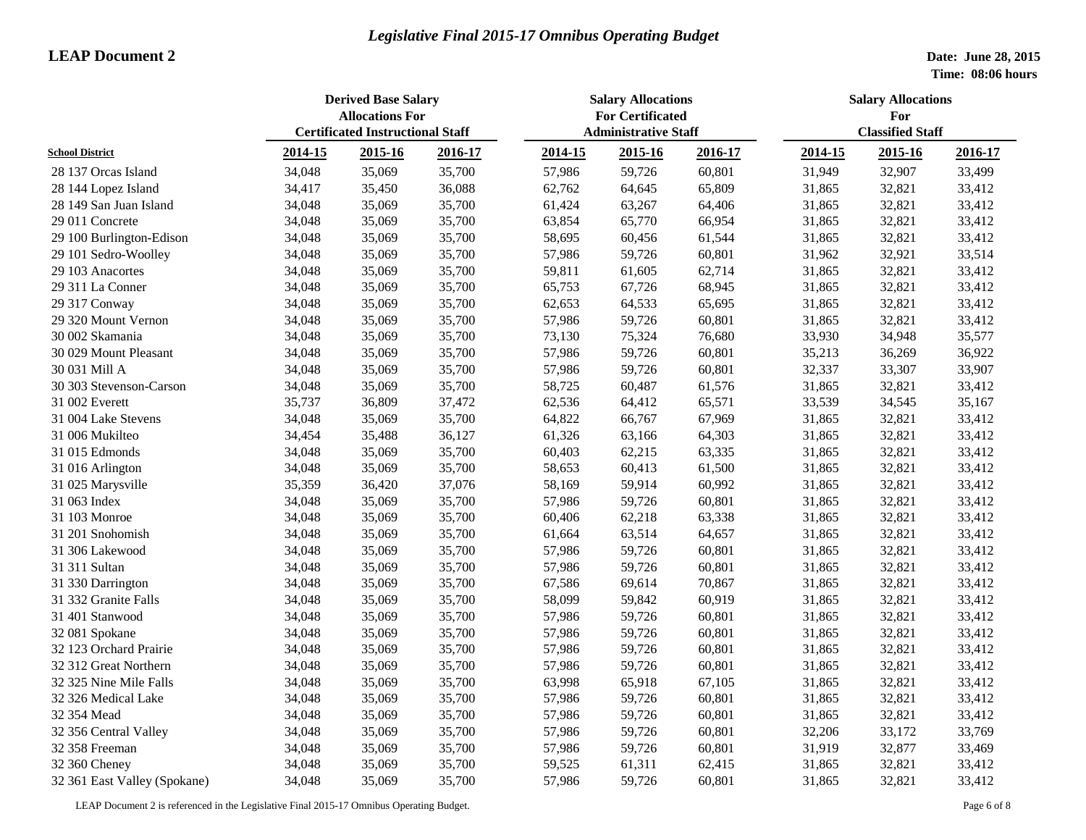|                              | <b>Derived Base Salary</b><br><b>Allocations For</b> |                                         |         | <b>Salary Allocations</b><br><b>For Certificated</b> |                             |         | <b>Salary Allocations</b><br>For |         |         |  |
|------------------------------|------------------------------------------------------|-----------------------------------------|---------|------------------------------------------------------|-----------------------------|---------|----------------------------------|---------|---------|--|
| <b>School District</b>       |                                                      | <b>Certificated Instructional Staff</b> |         |                                                      | <b>Administrative Staff</b> |         | <b>Classified Staff</b>          |         |         |  |
|                              | 2014-15                                              | 2015-16                                 | 2016-17 | 2014-15                                              | 2015-16                     | 2016-17 | 2014-15                          | 2015-16 | 2016-17 |  |
| 28 137 Orcas Island          | 34,048                                               | 35,069                                  | 35,700  | 57,986                                               | 59,726                      | 60,801  | 31,949                           | 32,907  | 33,499  |  |
| 28 144 Lopez Island          | 34,417                                               | 35,450                                  | 36,088  | 62,762                                               | 64,645                      | 65,809  | 31,865                           | 32,821  | 33,412  |  |
| 28 149 San Juan Island       | 34,048                                               | 35,069                                  | 35,700  | 61,424                                               | 63,267                      | 64,406  | 31,865                           | 32,821  | 33,412  |  |
| 29 011 Concrete              | 34,048                                               | 35,069                                  | 35,700  | 63,854                                               | 65,770                      | 66,954  | 31,865                           | 32,821  | 33,412  |  |
| 29 100 Burlington-Edison     | 34,048                                               | 35,069                                  | 35,700  | 58,695                                               | 60,456                      | 61,544  | 31,865                           | 32,821  | 33,412  |  |
| 29 101 Sedro-Woolley         | 34,048                                               | 35,069                                  | 35,700  | 57,986                                               | 59,726                      | 60,801  | 31,962                           | 32,921  | 33,514  |  |
| 29 103 Anacortes             | 34,048                                               | 35,069                                  | 35,700  | 59,811                                               | 61,605                      | 62,714  | 31,865                           | 32,821  | 33,412  |  |
| 29 311 La Conner             | 34,048                                               | 35,069                                  | 35,700  | 65,753                                               | 67,726                      | 68,945  | 31,865                           | 32,821  | 33,412  |  |
| 29 317 Conway                | 34,048                                               | 35,069                                  | 35,700  | 62,653                                               | 64,533                      | 65,695  | 31,865                           | 32,821  | 33,412  |  |
| 29 320 Mount Vernon          | 34,048                                               | 35,069                                  | 35,700  | 57,986                                               | 59,726                      | 60,801  | 31,865                           | 32,821  | 33,412  |  |
| 30 002 Skamania              | 34,048                                               | 35,069                                  | 35,700  | 73,130                                               | 75,324                      | 76,680  | 33,930                           | 34,948  | 35,577  |  |
| 30 029 Mount Pleasant        | 34,048                                               | 35,069                                  | 35,700  | 57,986                                               | 59,726                      | 60,801  | 35,213                           | 36,269  | 36,922  |  |
| 30 031 Mill A                | 34,048                                               | 35,069                                  | 35,700  | 57,986                                               | 59,726                      | 60,801  | 32,337                           | 33,307  | 33,907  |  |
| 30 303 Stevenson-Carson      | 34,048                                               | 35,069                                  | 35,700  | 58,725                                               | 60,487                      | 61,576  | 31,865                           | 32,821  | 33,412  |  |
| 31 002 Everett               | 35,737                                               | 36,809                                  | 37,472  | 62,536                                               | 64,412                      | 65,571  | 33,539                           | 34,545  | 35,167  |  |
| 31 004 Lake Stevens          | 34,048                                               | 35,069                                  | 35,700  | 64,822                                               | 66,767                      | 67,969  | 31,865                           | 32,821  | 33,412  |  |
| 31 006 Mukilteo              | 34,454                                               | 35,488                                  | 36,127  | 61,326                                               | 63,166                      | 64,303  | 31,865                           | 32,821  | 33,412  |  |
| 31 015 Edmonds               | 34,048                                               | 35,069                                  | 35,700  | 60,403                                               | 62,215                      | 63,335  | 31,865                           | 32,821  | 33,412  |  |
| 31 016 Arlington             | 34,048                                               | 35,069                                  | 35,700  | 58,653                                               | 60,413                      | 61,500  | 31,865                           | 32,821  | 33,412  |  |
| 31 025 Marysville            | 35,359                                               | 36,420                                  | 37,076  | 58,169                                               | 59,914                      | 60,992  | 31,865                           | 32,821  | 33,412  |  |
| 31 063 Index                 | 34,048                                               | 35,069                                  | 35,700  | 57,986                                               | 59,726                      | 60,801  | 31,865                           | 32,821  | 33,412  |  |
| 31 103 Monroe                | 34,048                                               | 35,069                                  | 35,700  | 60,406                                               | 62,218                      | 63,338  | 31,865                           | 32,821  | 33,412  |  |
| 31 201 Snohomish             | 34,048                                               | 35,069                                  | 35,700  | 61,664                                               | 63,514                      | 64,657  | 31,865                           | 32,821  | 33,412  |  |
| 31 306 Lakewood              | 34,048                                               | 35,069                                  | 35,700  | 57,986                                               | 59,726                      | 60,801  | 31,865                           | 32,821  | 33,412  |  |
| 31 311 Sultan                | 34,048                                               | 35,069                                  | 35,700  | 57,986                                               | 59,726                      | 60,801  | 31,865                           | 32,821  | 33,412  |  |
| 31 330 Darrington            | 34,048                                               | 35,069                                  | 35,700  | 67,586                                               | 69,614                      | 70,867  | 31,865                           | 32,821  | 33,412  |  |
| 31 332 Granite Falls         | 34,048                                               | 35,069                                  | 35,700  | 58,099                                               | 59,842                      | 60,919  | 31,865                           | 32,821  | 33,412  |  |
| 31 401 Stanwood              | 34,048                                               | 35,069                                  | 35,700  | 57,986                                               | 59,726                      | 60,801  | 31,865                           | 32,821  | 33,412  |  |
| 32 081 Spokane               | 34,048                                               | 35,069                                  | 35,700  | 57,986                                               | 59,726                      | 60,801  | 31,865                           | 32,821  | 33,412  |  |
| 32 123 Orchard Prairie       | 34,048                                               | 35,069                                  | 35,700  | 57,986                                               | 59,726                      | 60,801  | 31,865                           | 32,821  | 33,412  |  |
| 32 312 Great Northern        | 34,048                                               | 35,069                                  | 35,700  | 57,986                                               | 59,726                      | 60,801  | 31,865                           | 32,821  | 33,412  |  |
| 32 325 Nine Mile Falls       | 34,048                                               | 35,069                                  | 35,700  | 63,998                                               | 65,918                      | 67,105  | 31,865                           | 32,821  | 33,412  |  |
| 32 326 Medical Lake          | 34,048                                               | 35,069                                  | 35,700  | 57,986                                               | 59,726                      | 60,801  | 31,865                           | 32,821  | 33,412  |  |
| 32 354 Mead                  | 34,048                                               | 35,069                                  | 35,700  | 57,986                                               | 59,726                      | 60,801  | 31,865                           | 32,821  | 33,412  |  |
| 32 356 Central Valley        | 34,048                                               | 35,069                                  | 35,700  | 57,986                                               | 59,726                      | 60,801  | 32,206                           | 33,172  | 33,769  |  |
| 32 358 Freeman               | 34,048                                               | 35,069                                  | 35,700  | 57,986                                               | 59,726                      | 60,801  | 31,919                           | 32,877  | 33,469  |  |
| 32 360 Cheney                | 34,048                                               | 35,069                                  | 35,700  | 59,525                                               | 61,311                      | 62,415  | 31,865                           | 32,821  | 33,412  |  |
| 32 361 East Valley (Spokane) | 34,048                                               | 35,069                                  | 35,700  | 57,986                                               | 59,726                      | 60,801  | 31,865                           | 32,821  | 33,412  |  |

LEAP Document 2 is referenced in the Legislative Final 2015-17 Omnibus Operating Budget. Page 6 of 8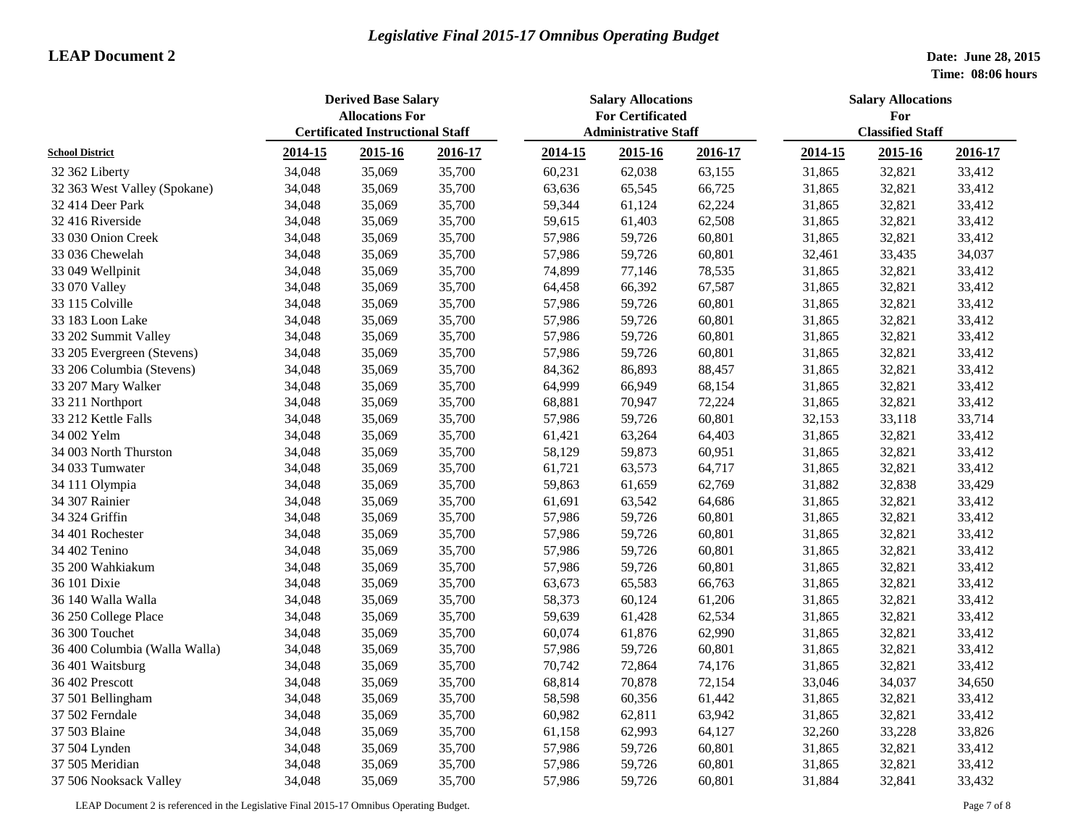|                               | <b>Derived Base Salary</b><br><b>Allocations For</b> |                                         |         | <b>Salary Allocations</b><br><b>For Certificated</b> |         |         | <b>Salary Allocations</b><br>For |         |         |
|-------------------------------|------------------------------------------------------|-----------------------------------------|---------|------------------------------------------------------|---------|---------|----------------------------------|---------|---------|
| <b>School District</b>        |                                                      | <b>Certificated Instructional Staff</b> |         | <b>Administrative Staff</b>                          |         |         | <b>Classified Staff</b>          |         |         |
|                               | 2014-15                                              | 2015-16                                 | 2016-17 | 2014-15                                              | 2015-16 | 2016-17 | 2014-15                          | 2015-16 | 2016-17 |
| 32 362 Liberty                | 34,048                                               | 35,069                                  | 35,700  | 60,231                                               | 62,038  | 63,155  | 31,865                           | 32,821  | 33,412  |
| 32 363 West Valley (Spokane)  | 34,048                                               | 35,069                                  | 35,700  | 63,636                                               | 65,545  | 66,725  | 31,865                           | 32,821  | 33,412  |
| 32 414 Deer Park              | 34,048                                               | 35,069                                  | 35,700  | 59,344                                               | 61,124  | 62,224  | 31,865                           | 32,821  | 33,412  |
| 32 416 Riverside              | 34,048                                               | 35,069                                  | 35,700  | 59,615                                               | 61,403  | 62,508  | 31,865                           | 32,821  | 33,412  |
| 33 030 Onion Creek            | 34,048                                               | 35,069                                  | 35,700  | 57,986                                               | 59,726  | 60,801  | 31,865                           | 32,821  | 33,412  |
| 33 036 Chewelah               | 34,048                                               | 35,069                                  | 35,700  | 57,986                                               | 59,726  | 60,801  | 32,461                           | 33,435  | 34,037  |
| 33 049 Wellpinit              | 34,048                                               | 35,069                                  | 35,700  | 74,899                                               | 77,146  | 78,535  | 31,865                           | 32,821  | 33,412  |
| 33 070 Valley                 | 34,048                                               | 35,069                                  | 35,700  | 64,458                                               | 66,392  | 67,587  | 31,865                           | 32,821  | 33,412  |
| 33 115 Colville               | 34,048                                               | 35,069                                  | 35,700  | 57,986                                               | 59,726  | 60,801  | 31,865                           | 32,821  | 33,412  |
| 33 183 Loon Lake              | 34,048                                               | 35,069                                  | 35,700  | 57,986                                               | 59,726  | 60,801  | 31,865                           | 32,821  | 33,412  |
| 33 202 Summit Valley          | 34,048                                               | 35,069                                  | 35,700  | 57,986                                               | 59,726  | 60,801  | 31,865                           | 32,821  | 33,412  |
| 33 205 Evergreen (Stevens)    | 34,048                                               | 35,069                                  | 35,700  | 57,986                                               | 59,726  | 60,801  | 31,865                           | 32,821  | 33,412  |
| 33 206 Columbia (Stevens)     | 34,048                                               | 35,069                                  | 35,700  | 84,362                                               | 86,893  | 88,457  | 31,865                           | 32,821  | 33,412  |
| 33 207 Mary Walker            | 34,048                                               | 35,069                                  | 35,700  | 64,999                                               | 66,949  | 68,154  | 31,865                           | 32,821  | 33,412  |
| 33 211 Northport              | 34,048                                               | 35,069                                  | 35,700  | 68,881                                               | 70,947  | 72,224  | 31,865                           | 32,821  | 33,412  |
| 33 212 Kettle Falls           | 34,048                                               | 35,069                                  | 35,700  | 57,986                                               | 59,726  | 60,801  | 32,153                           | 33,118  | 33,714  |
| 34 002 Yelm                   | 34,048                                               | 35,069                                  | 35,700  | 61,421                                               | 63,264  | 64,403  | 31,865                           | 32,821  | 33,412  |
| 34 003 North Thurston         | 34,048                                               | 35,069                                  | 35,700  | 58,129                                               | 59,873  | 60,951  | 31,865                           | 32,821  | 33,412  |
| 34 033 Tumwater               | 34,048                                               | 35,069                                  | 35,700  | 61,721                                               | 63,573  | 64,717  | 31,865                           | 32,821  | 33,412  |
| 34 111 Olympia                | 34,048                                               | 35,069                                  | 35,700  | 59,863                                               | 61,659  | 62,769  | 31,882                           | 32,838  | 33,429  |
| 34 307 Rainier                | 34,048                                               | 35,069                                  | 35,700  | 61,691                                               | 63,542  | 64,686  | 31,865                           | 32,821  | 33,412  |
| 34 324 Griffin                | 34,048                                               | 35,069                                  | 35,700  | 57,986                                               | 59,726  | 60,801  | 31,865                           | 32,821  | 33,412  |
| 34 401 Rochester              | 34,048                                               | 35,069                                  | 35,700  | 57,986                                               | 59,726  | 60,801  | 31,865                           | 32,821  | 33,412  |
| 34 402 Tenino                 | 34,048                                               | 35,069                                  | 35,700  | 57,986                                               | 59,726  | 60,801  | 31,865                           | 32,821  | 33,412  |
| 35 200 Wahkiakum              | 34,048                                               | 35,069                                  | 35,700  | 57,986                                               | 59,726  | 60,801  | 31,865                           | 32,821  | 33,412  |
| 36 101 Dixie                  | 34,048                                               | 35,069                                  | 35,700  | 63,673                                               | 65,583  | 66,763  | 31,865                           | 32,821  | 33,412  |
| 36 140 Walla Walla            | 34,048                                               | 35,069                                  | 35,700  | 58,373                                               | 60,124  | 61,206  | 31,865                           | 32,821  | 33,412  |
| 36 250 College Place          | 34,048                                               | 35,069                                  | 35,700  | 59,639                                               | 61,428  | 62,534  | 31,865                           | 32,821  | 33,412  |
| 36 300 Touchet                | 34,048                                               | 35,069                                  | 35,700  | 60,074                                               | 61,876  | 62,990  | 31,865                           | 32,821  | 33,412  |
| 36 400 Columbia (Walla Walla) | 34,048                                               | 35,069                                  | 35,700  | 57,986                                               | 59,726  | 60,801  | 31,865                           | 32,821  | 33,412  |
| 36 401 Waitsburg              | 34,048                                               | 35,069                                  | 35,700  | 70,742                                               | 72,864  | 74,176  | 31,865                           | 32,821  | 33,412  |
| 36 402 Prescott               | 34,048                                               | 35,069                                  | 35,700  | 68,814                                               | 70,878  | 72,154  | 33,046                           | 34,037  | 34,650  |
| 37 501 Bellingham             | 34,048                                               | 35,069                                  | 35,700  | 58,598                                               | 60,356  | 61,442  | 31,865                           | 32,821  | 33,412  |
| 37 502 Ferndale               | 34,048                                               | 35,069                                  | 35,700  | 60,982                                               | 62,811  | 63,942  | 31,865                           | 32,821  | 33,412  |
| 37 503 Blaine                 | 34,048                                               | 35,069                                  | 35,700  | 61,158                                               | 62,993  | 64,127  | 32,260                           | 33,228  | 33,826  |
| 37 504 Lynden                 | 34,048                                               | 35,069                                  | 35,700  | 57,986                                               | 59,726  | 60,801  | 31,865                           | 32,821  | 33,412  |
| 37 505 Meridian               | 34,048                                               | 35,069                                  | 35,700  | 57,986                                               | 59,726  | 60,801  | 31,865                           | 32,821  | 33,412  |
| 37 506 Nooksack Valley        | 34,048                                               | 35,069                                  | 35,700  | 57,986                                               | 59,726  | 60,801  | 31,884                           | 32,841  | 33,432  |

LEAP Document 2 is referenced in the Legislative Final 2015-17 Omnibus Operating Budget. Page 7 of 8